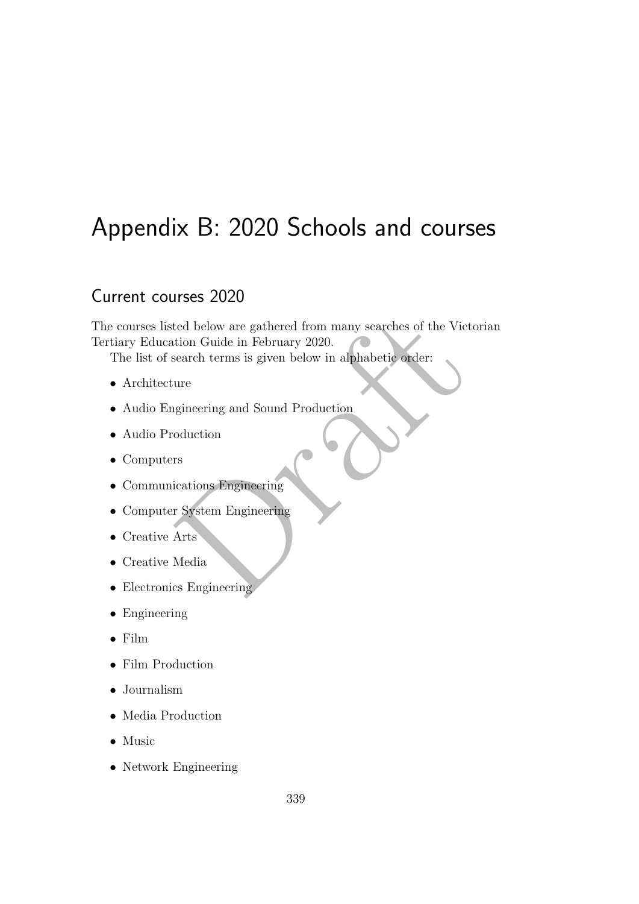# Appendix B: 2020 Schools and courses

## Current courses 2020

ted below are gathered from many searches of the Victori<br>
tion Guide in February 2020.<br>
search terms is given below in alphabetic order:<br>
ure<br>
gineering and Sound Production<br>
rs<br>
sications Engineering<br>
Ty System Engineerin The courses listed below are gathered from many searches of the Victorian Tertiary Education Guide in February 2020.

The list of search terms is given below in alphabetic order:

- Architecture
- Audio Engineering and Sound Production
- Audio Production
- Computers
- Communications Engineering
- Computer System Engineering
- Creative Arts
- Creative Media
- Electronics Engineering
- Engineering
- Film
- Film Production
- Journalism
- Media Production
- Music
- Network Engineering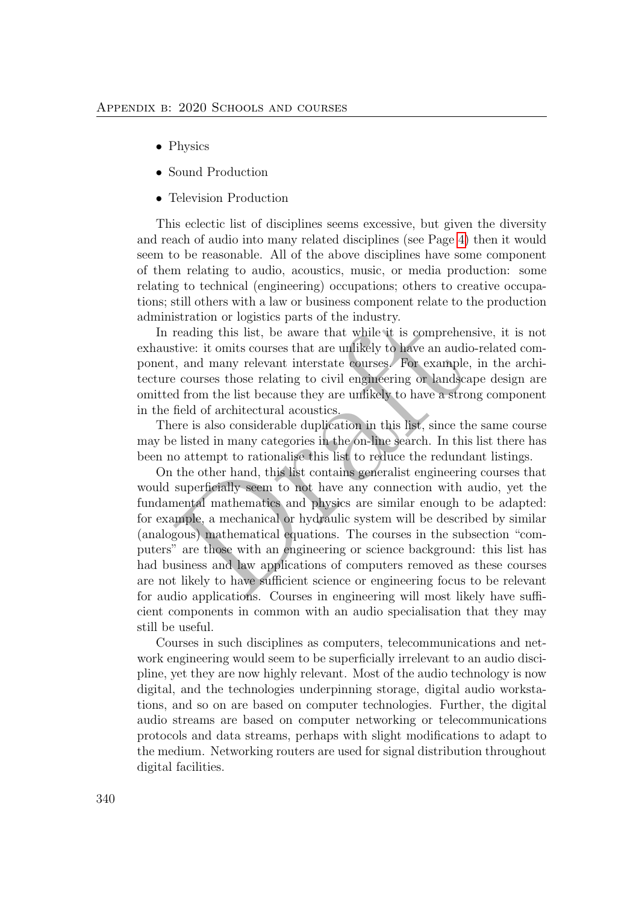- Physics
- Sound Production
- Television Production

This eclectic list of disciplines seems excessive, but given the diversity and reach of audio into many related disciplines (see Page 4) then it would seem to be reasonable. All of the above disciplines have some component of them relating to audio, acoustics, music, or media production: some relating to technical (engineering) occupations; others to creative occupations; still others with a law or business component relate to the production administration or logistics parts of the industry.

In reading this list, be aware that while it is comprehensive, it is not exhaustive: it omits courses that are unlikely to have an audio-related component, and many relevant interstate courses. For example, in the architecture courses those relating to civil engineering or landscape design are omitted from the list because they are unlikely to have a strong component in the field of architectural acoustics.

There is also considerable duplication in this list, since the same course may be listed in many categories in the on-line search. In this list there has been no attempt to rationalise this list to reduce the redundant listings.

istration or logistics parts of the industry.<br>
reading this list, be aware that while it is comprehensiv<br>
reading this list, be aware that while it is comprehensiv<br>
itive: it omits courses that are unlikely to have an audi On the other hand, this list contains generalist engineering courses that would superficially seem to not have any connection with audio, yet the fundamental mathematics and physics are similar enough to be adapted: for example, a mechanical or hydraulic system will be described by similar (analogous) mathematical equations. The courses in the subsection "computers" are those with an engineering or science background: this list has had business and law applications of computers removed as these courses are not likely to have sufficient science or engineering focus to be relevant for audio applications. Courses in engineering will most likely have sufficient components in common with an audio specialisation that they may still be useful.

Courses in such disciplines as computers, telecommunications and network engineering would seem to be superficially irrelevant to an audio discipline, yet they are now highly relevant. Most of the audio technology is now digital, and the technologies underpinning storage, digital audio workstations, and so on are based on computer technologies. Further, the digital audio streams are based on computer networking or telecommunications protocols and data streams, perhaps with slight modifications to adapt to the medium. Networking routers are used for signal distribution throughout digital facilities.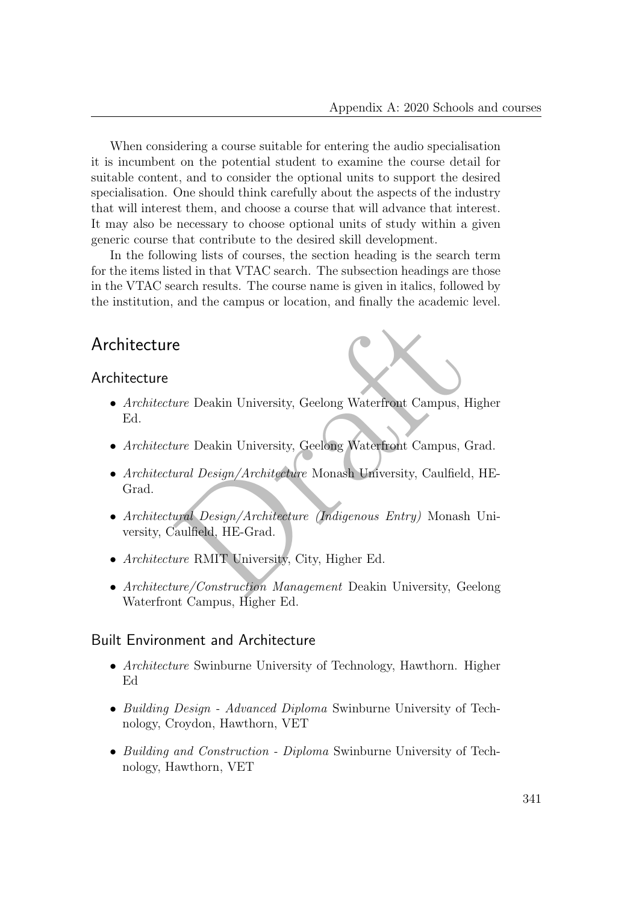When considering a course suitable for entering the audio specialisation it is incumbent on the potential student to examine the course detail for suitable content, and to consider the optional units to support the desired specialisation. One should think carefully about the aspects of the industry that will interest them, and choose a course that will advance that interest. It may also be necessary to choose optional units of study within a given generic course that contribute to the desired skill development.

In the following lists of courses, the section heading is the search term for the items listed in that VTAC search. The subsection headings are those in the VTAC search results. The course name is given in italics, followed by the institution, and the campus or location, and finally the academic level.

## Architecture

#### Architecture

- Architecture Deakin University, Geelong Waterfront Campus, Higher Ed.
- Architecture Deakin University, Geelong Waterfront Campus, Grad.
- e<br>
Enter Deakin University, Geelong Waterfront Campus, Hightyper Deakin University, Geelong Waterfront Campus, Graecard University, Caulfield, Handel University, Caulfield, Handel University, Caulfield, Handel Caulfield, H • Architectural Design/Architecture Monash University, Caulfield, HE-Grad.
- Architectural Design/Architecture (Indigenous Entry) Monash University, Caulfield, HE-Grad.
- Architecture RMIT University, City, Higher Ed.
- Architecture/Construction Management Deakin University, Geelong Waterfront Campus, Higher Ed.

#### Built Environment and Architecture

- Architecture Swinburne University of Technology, Hawthorn. Higher Ed
- Building Design Advanced Diploma Swinburne University of Technology, Croydon, Hawthorn, VET
- Building and Construction Diploma Swinburne University of Technology, Hawthorn, VET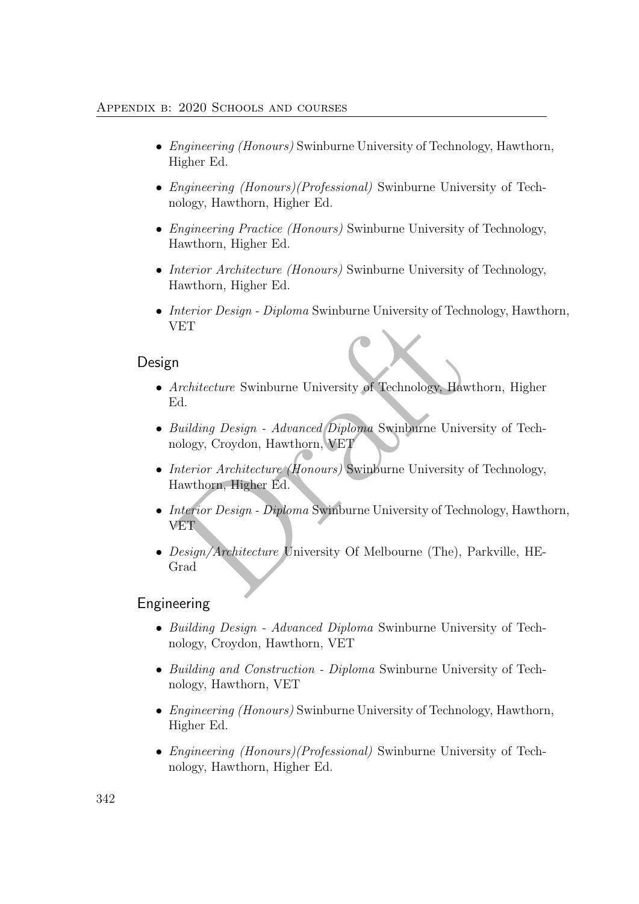- *Engineering (Honours)* Swinburne University of Technology, Hawthorn, Higher Ed.
- *Engineering (Honours)(Professional)* Swinburne University of Technology, Hawthorn, Higher Ed.
- *Engineering Practice (Honours)* Swinburne University of Technology, Hawthorn, Higher Ed.
- Interior Architecture (Honours) Swinburne University of Technology, Hawthorn, Higher Ed.
- Interior Design Diploma Swinburne University of Technology, Hawthorn, VET

### Design

- Architecture Swinburne University of Technology, Hawthorn, Higher Ed.
- Building Design Advanced Diploma Swinburne University of Technology, Croydon, Hawthorn, VET
- Interior Architecture (Honours) Swinburne University of Technology, Hawthorn, Higher Ed.
- NET<br>
IET<br>
n<br>
Architecture Swinburne University of Technology, Hawthock<br>
Ed.<br>
Building Design Advanced Diploma Swinburne University<br>
iology, Croydon, Hawthorn, VET<br>
Interior Architecture (Honours) Swinburne University of • *Interior Design - Diploma* Swinburne University of Technology, Hawthorn, VET
- Design/Architecture University Of Melbourne (The), Parkville, HE-Grad

### Engineering

- Building Design Advanced Diploma Swinburne University of Technology, Croydon, Hawthorn, VET
- Building and Construction Diploma Swinburne University of Technology, Hawthorn, VET
- *Engineering (Honours)* Swinburne University of Technology, Hawthorn, Higher Ed.
- *Engineering (Honours)(Professional)* Swinburne University of Technology, Hawthorn, Higher Ed.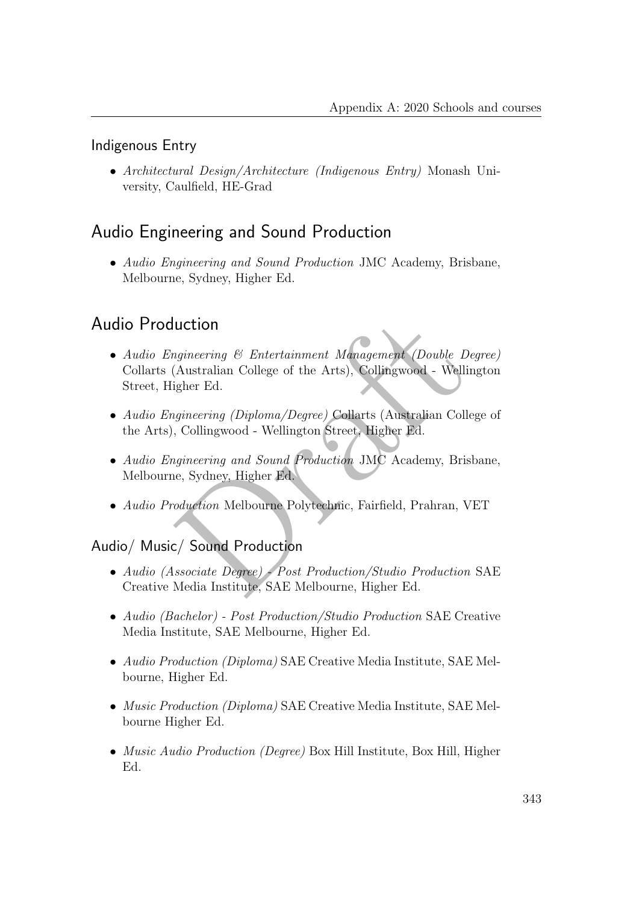### Indigenous Entry

• Architectural Design/Architecture (Indigenous Entry) Monash University, Caulfield, HE-Grad

## Audio Engineering and Sound Production

• Audio Engineering and Sound Production JMC Academy, Brisbane, Melbourne, Sydney, Higher Ed.

## Audio Production

- uction<br>
ngineering & Entertainment Management (Double Degre<br>
(Australian College of the Arts), Collingwood Wellingt<br>
igher Ed.<br>
signeering (Diploma/Degree) Collarts (Australian College<br>
, Collingwood Wellington Street, • Audio Engineering & Entertainment Management (Double Degree) Collarts (Australian College of the Arts), Collingwood - Wellington Street, Higher Ed.
- Audio Engineering (Diploma/Degree) Collarts (Australian College of the Arts), Collingwood - Wellington Street, Higher Ed.
- Audio Engineering and Sound Production JMC Academy, Brisbane, Melbourne, Sydney, Higher Ed.
- Audio Production Melbourne Polytechnic, Fairfield, Prahran, VET

### Audio/ Music/ Sound Production

- Audio (Associate Degree) Post Production/Studio Production SAE Creative Media Institute, SAE Melbourne, Higher Ed.
- Audio (Bachelor) Post Production/Studio Production SAE Creative Media Institute, SAE Melbourne, Higher Ed.
- Audio Production (Diploma) SAE Creative Media Institute, SAE Melbourne, Higher Ed.
- Music Production (Diploma) SAE Creative Media Institute, SAE Melbourne Higher Ed.
- *Music Audio Production (Degree)* Box Hill Institute, Box Hill, Higher Ed.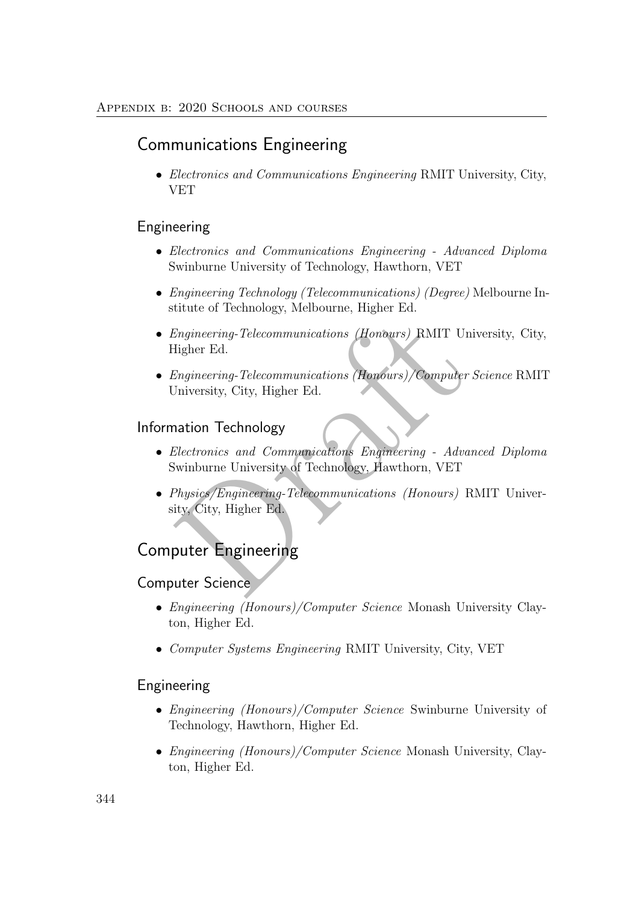## Communications Engineering

• Electronics and Communications Engineering RMIT University, City, VET

### Engineering

- Electronics and Communications Engineering Advanced Diploma Swinburne University of Technology, Hawthorn, VET
- Engineering Technology (Telecommunications) (Degree) Melbourne Institute of Technology, Melbourne, Higher Ed.
- Engineering-Telecommunications (Honours) RMIT University, City, Higher Ed.
- Engineering-Telecommunications (Honours)/Computer Science RMIT University, City, Higher Ed.

### Information Technology

- Engineering-Telecommunications (Honours) RMIT University Telecommunications (Honours) /Computer Sciencering-Telecommunications (Honours)/Computer Sciencering-Telecommunications Engineering Advance<br>Nuiversity, City, Highe • Electronics and Communications Engineering - Advanced Diploma Swinburne University of Technology, Hawthorn, VET
- Physics/Engineering-Telecommunications (Honours) RMIT University, City, Higher Ed.

## Computer Engineering

### Computer Science

- Engineering (Honours)/Computer Science Monash University Clayton, Higher Ed.
- Computer Systems Engineering RMIT University, City, VET

#### Engineering

- Engineering (Honours)/Computer Science Swinburne University of Technology, Hawthorn, Higher Ed.
- Engineering (Honours)/Computer Science Monash University, Clayton, Higher Ed.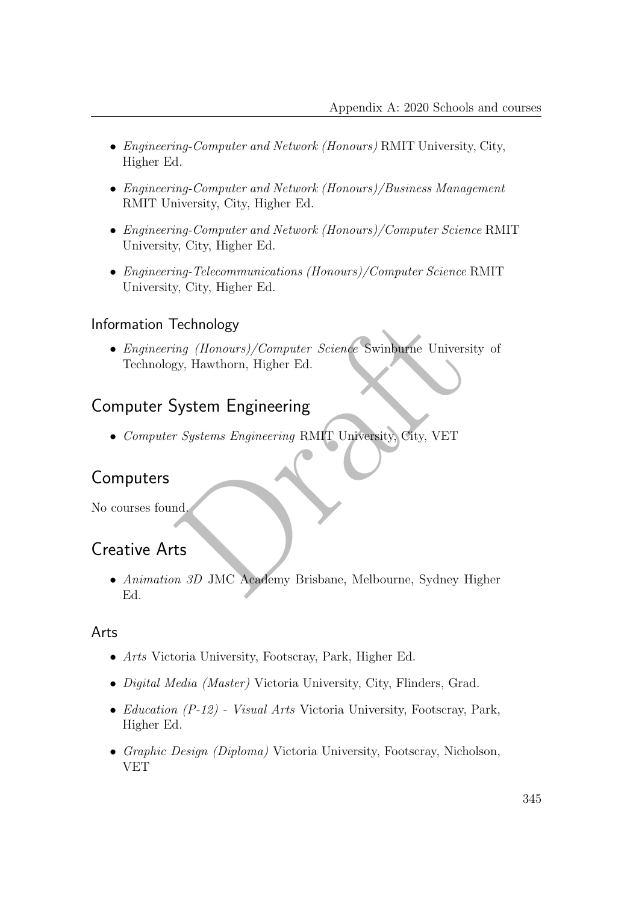- Engineering-Computer and Network (Honours) RMIT University, City, Higher Ed.
- Engineering-Computer and Network (Honours)/Business Management RMIT University, City, Higher Ed.
- Engineering-Computer and Network (Honours)/Computer Science RMIT University, City, Higher Ed.
- Engineering-Telecommunications (Honours)/Computer Science RMIT University, City, Higher Ed.

### Information Technology

Fechnology<br>
Engineering (Honours)/Computer Science Swinburne University<br>
System Engineering<br>
Figures Engineering RMIT University City, VET<br>
Md.<br>
In SD JMC Academy Brisbane, Melbourne, Sydney High<br>
The System Brisbane, Melb • Engineering (Honours)/Computer Science Swinburne University of Technology, Hawthorn, Higher Ed.

## Computer System Engineering

• Computer Systems Engineering RMIT University, City, VET

## Computers

No courses found.

## Creative Arts

• Animation 3D JMC Academy Brisbane, Melbourne, Sydney Higher Ed.

### Arts

- Arts Victoria University, Footscray, Park, Higher Ed.
- Digital Media (Master) Victoria University, City, Flinders, Grad.
- Education  $(P-12)$  Visual Arts Victoria University, Footscray, Park, Higher Ed.
- Graphic Design (Diploma) Victoria University, Footscray, Nicholson, VET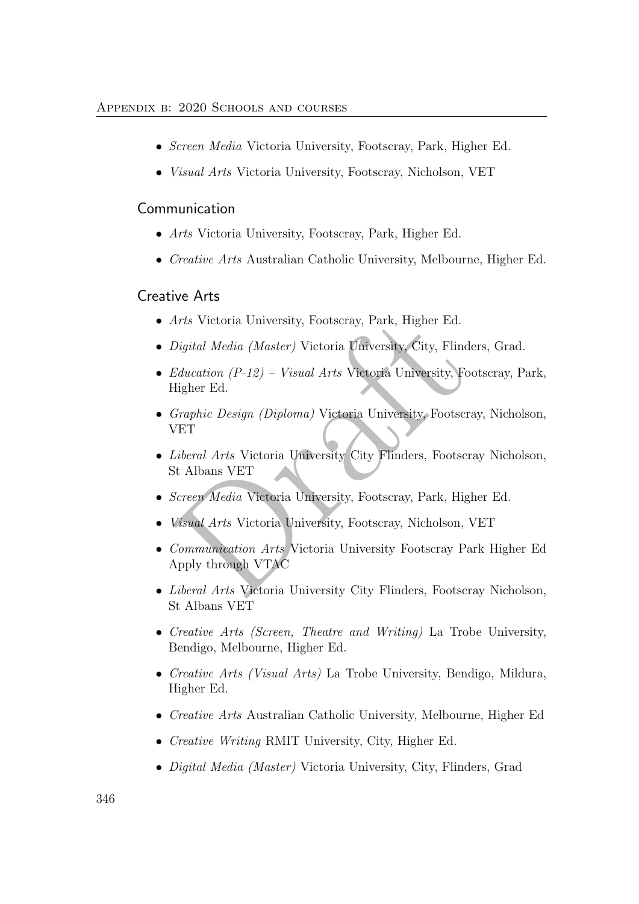- Screen Media Victoria University, Footscray, Park, Higher Ed.
- Visual Arts Victoria University, Footscray, Nicholson, VET

#### Communication

- Arts Victoria University, Footscray, Park, Higher Ed.
- Creative Arts Australian Catholic University, Melbourne, Higher Ed.

### Creative Arts

- Arts Victoria University, Footscray, Park, Higher Ed.
- Digital Media (Master) Victoria University, City, Flinders, Grad.
- Arts Victoria University, Footscray, Park, Higher Ed.<br>
Digital Media (Master) Victoria University, City, Flinders<br>
Education (P-12) Visual Arts Victoria University, Foots<br>
Higher Ed.<br>
Graphic Design (Diploma) Victoria Un • Education  $(P-12)$  – Visual Arts Victoria University, Footscray, Park, Higher Ed.
- Graphic Design (Diploma) Victoria University, Footscray, Nicholson, VET
- Liberal Arts Victoria University City Flinders, Footscray Nicholson, St Albans VET
- Screen Media Victoria University, Footscray, Park, Higher Ed.
- Visual Arts Victoria University, Footscray, Nicholson, VET
- Communication Arts Victoria University Footscray Park Higher Ed Apply through VTAC
- Liberal Arts Victoria University City Flinders, Footscray Nicholson, St Albans VET
- Creative Arts (Screen, Theatre and Writing) La Trobe University, Bendigo, Melbourne, Higher Ed.
- *Creative Arts (Visual Arts)* La Trobe University, Bendigo, Mildura, Higher Ed.
- Creative Arts Australian Catholic University, Melbourne, Higher Ed
- Creative Writing RMIT University, City, Higher Ed.
- *Digital Media (Master)* Victoria University, City, Flinders, Grad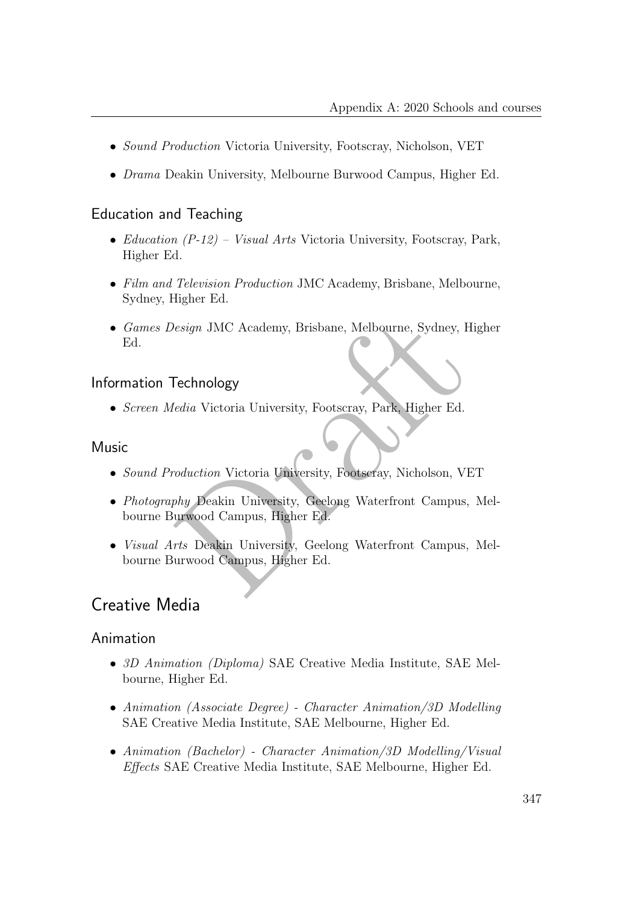- Sound Production Victoria University, Footscray, Nicholson, VET
- Drama Deakin University, Melbourne Burwood Campus, Higher Ed.

### Education and Teaching

- Education  $(P-12)$  Visual Arts Victoria University, Footscray, Park, Higher Ed.
- Film and Television Production JMC Academy, Brisbane, Melbourne, Sydney, Higher Ed.
- Games Design JMC Academy, Brisbane, Melbourne, Sydney, Higher Ed.

### Information Technology

• Screen Media Victoria University, Footscray, Park, Higher Ed.

### **Music**

- Sound Production Victoria University, Footscray, Nicholson, VET
- Fechnology<br>
Fechnology<br>
Fechnology<br>
Fechnology<br>
Fechnology<br>
Fechnology<br>
Fechnology<br>
Fechnology<br>
Fechnology<br>
Fechnology<br>
Peakin University, Geelong Waterfront Campus, Murwood Campus, Higher Ed.<br>
France Deakin University, Ge • Photography Deakin University, Geelong Waterfront Campus, Melbourne Burwood Campus, Higher Ed.
- Visual Arts Deakin University, Geelong Waterfront Campus, Melbourne Burwood Campus, Higher Ed.

## Creative Media

### Animation

- 3D Animation (Diploma) SAE Creative Media Institute, SAE Melbourne, Higher Ed.
- Animation (Associate Degree) Character Animation/3D Modelling SAE Creative Media Institute, SAE Melbourne, Higher Ed.
- Animation (Bachelor) Character Animation/3D Modelling/Visual Effects SAE Creative Media Institute, SAE Melbourne, Higher Ed.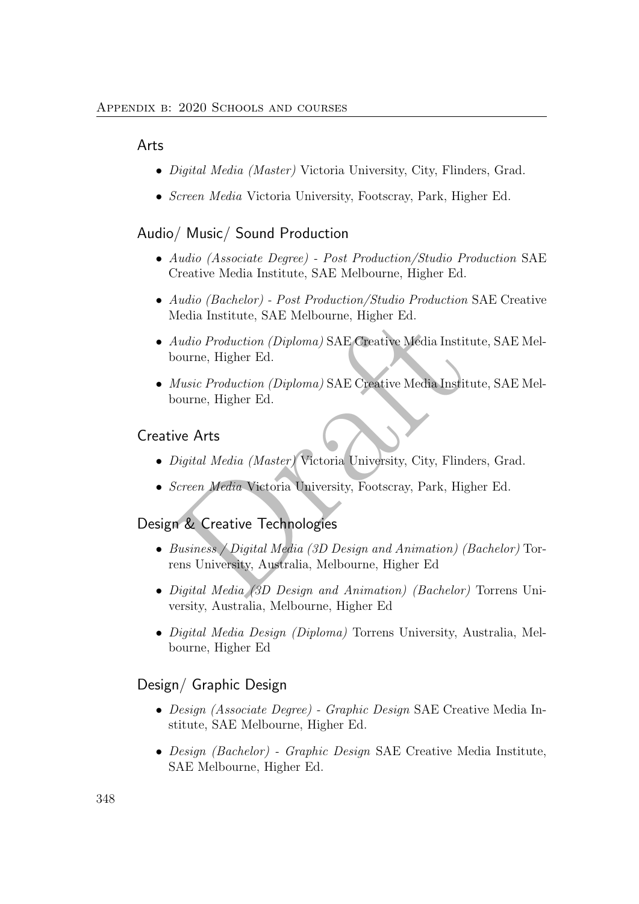#### Arts

- *Digital Media (Master)* Victoria University, City, Flinders, Grad.
- Screen Media Victoria University, Footscray, Park, Higher Ed.

#### Audio/ Music/ Sound Production

- Audio (Associate Degree) Post Production/Studio Production SAE Creative Media Institute, SAE Melbourne, Higher Ed.
- Audio (Bachelor) Post Production/Studio Production SAE Creative Media Institute, SAE Melbourne, Higher Ed.
- Media Institute, SAE Melbourne, Higher Ed.<br>
Audio Production (Diploma) SAE Creative Media Institute<br>
oourne, Higher Ed.<br>
Music Production (Diploma) SAE Creative Media Institute<br>
oourne, Higher Ed.<br>
ive Arts<br>
Sigital Media • Audio Production (Diploma) SAE Creative Media Institute, SAE Melbourne, Higher Ed.
- Music Production (Diploma) SAE Creative Media Institute, SAE Melbourne, Higher Ed.

#### Creative Arts

- Digital Media (Master) Victoria University, City, Flinders, Grad.
- Screen Media Victoria University, Footscray, Park, Higher Ed.

#### Design & Creative Technologies

- Business / Digital Media (3D Design and Animation) (Bachelor) Torrens University, Australia, Melbourne, Higher Ed
- Digital Media (3D Design and Animation) (Bachelor) Torrens University, Australia, Melbourne, Higher Ed
- Digital Media Design (Diploma) Torrens University, Australia, Melbourne, Higher Ed

#### Design/ Graphic Design

- Design (Associate Degree) Graphic Design SAE Creative Media Institute, SAE Melbourne, Higher Ed.
- Design (Bachelor) Graphic Design SAE Creative Media Institute, SAE Melbourne, Higher Ed.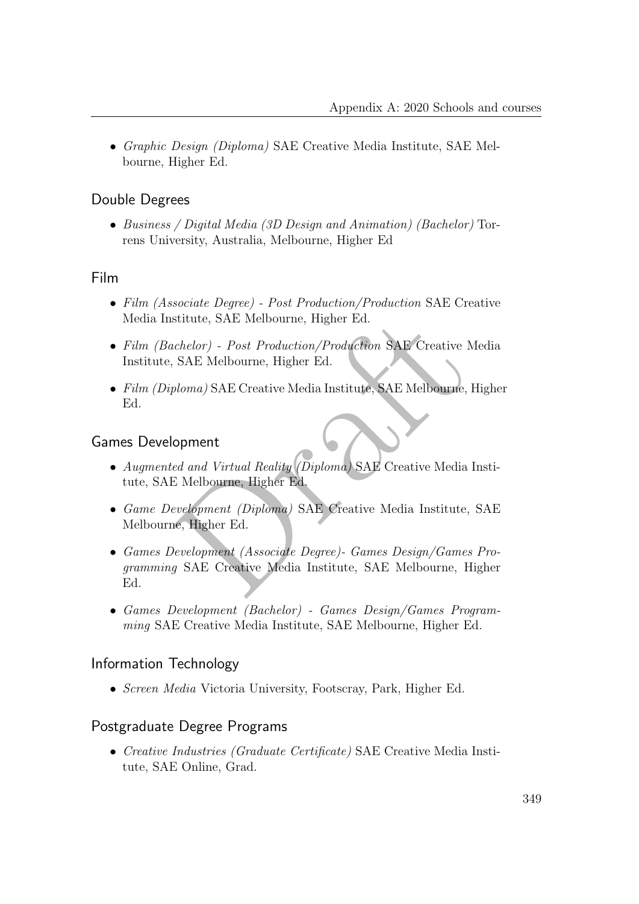• Graphic Design (Diploma) SAE Creative Media Institute, SAE Melbourne, Higher Ed.

### Double Degrees

• Business / Digital Media (3D Design and Animation) (Bachelor) Torrens University, Australia, Melbourne, Higher Ed

### Film

- Film (Associate Degree) Post Production/Production SAE Creative Media Institute, SAE Melbourne, Higher Ed.
- Film (Bachelor) Post Production/Production SAE Creative Media Institute, SAE Melbourne, Higher Ed.
- Film (Diploma) SAE Creative Media Institute, SAE Melbourne, Higher Ed.

### Games Development

- Augmented and Virtual Reality (Diploma) SAE Creative Media Institute, SAE Melbourne, Higher Ed.
- Game Development (Diploma) SAE Creative Media Institute, SAE Melbourne, Higher Ed.
- stitute, SAE Melbourne, Higher Ed.<br>
chelor) Post Production/Production SAE Creative Mec<br>
SAE Melbourne, Higher Ed.<br>
bloma) SAE Creative Media Institute, SAE Melbourne, Higher<br>
ed and Virtual Reality (Diploma) SAE Creativ • Games Development (Associate Degree)- Games Design/Games Programming SAE Creative Media Institute, SAE Melbourne, Higher Ed.
- Games Development (Bachelor) Games Design/Games Programming SAE Creative Media Institute, SAE Melbourne, Higher Ed.

### Information Technology

• *Screen Media* Victoria University, Footscray, Park, Higher Ed.

### Postgraduate Degree Programs

• Creative Industries (Graduate Certificate) SAE Creative Media Institute, SAE Online, Grad.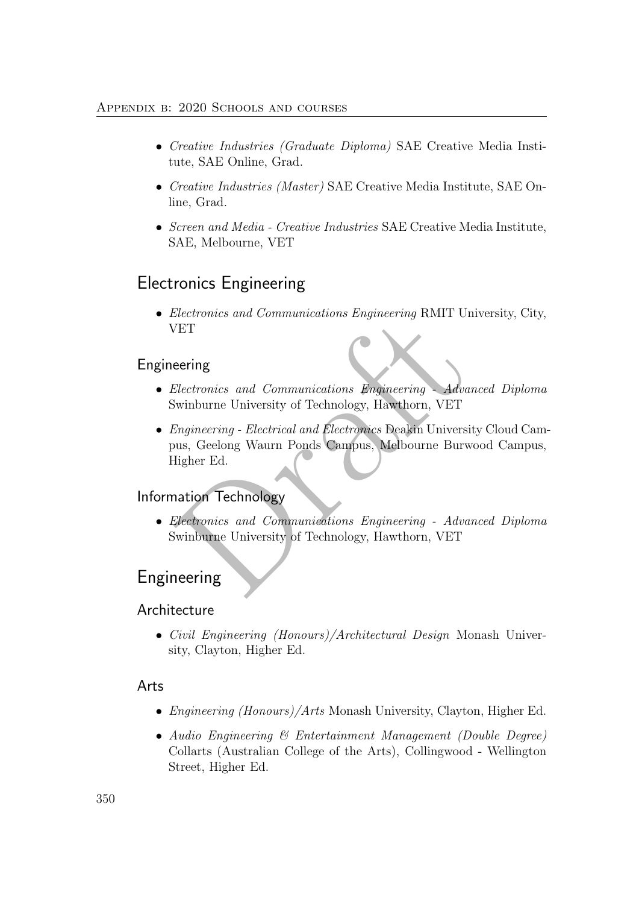- Creative Industries (Graduate Diploma) SAE Creative Media Institute, SAE Online, Grad.
- Creative Industries (Master) SAE Creative Media Institute, SAE Online, Grad.
- Screen and Media Creative Industries SAE Creative Media Institute, SAE, Melbourne, VET

## Electronics Engineering

• Electronics and Communications Engineering RMIT University, City, VET

## Engineering

- Electronics and Communications Engineering Advanced Diploma Swinburne University of Technology, Hawthorn, VET
- Electronics and Communications Engineering NMTT University<br>TET<br>Sectronics and Communications Engineering Advance<br>Swinburne University of Technology, Hawthorn, VET<br>Engineering Electrical and Electronics Deakin Universit • Engineering - Electrical and Electronics Deakin University Cloud Campus, Geelong Waurn Ponds Campus, Melbourne Burwood Campus, Higher Ed.

## Information Technology

• Electronics and Communications Engineering - Advanced Diploma Swinburne University of Technology, Hawthorn, VET

## Engineering

### Architecture

• Civil Engineering (Honours)/Architectural Design Monash University, Clayton, Higher Ed.

### Arts

- *Engineering (Honours)/Arts* Monash University, Clayton, Higher Ed.
- Audio Engineering & Entertainment Management (Double Degree) Collarts (Australian College of the Arts), Collingwood - Wellington Street, Higher Ed.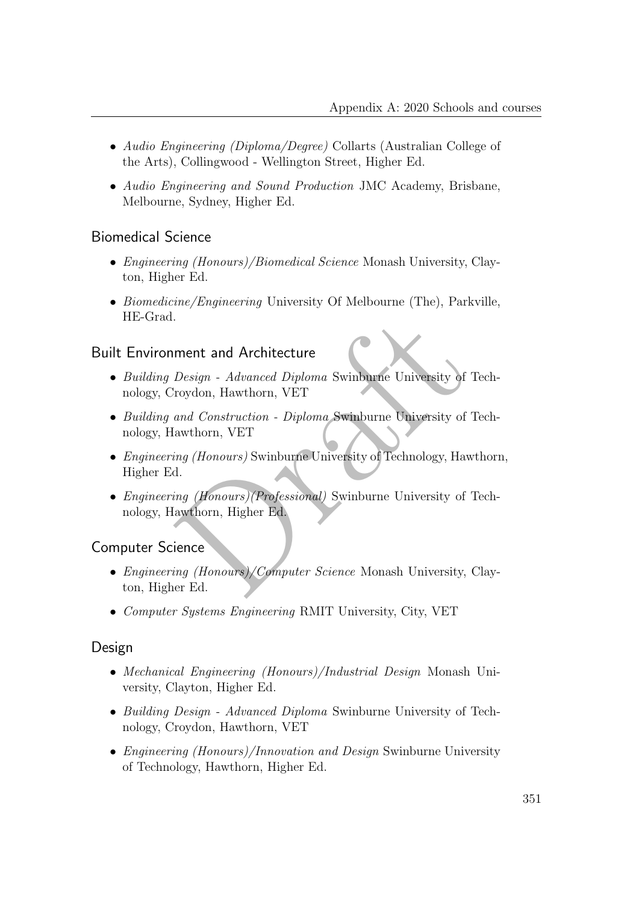- Audio Engineering (Diploma/Degree) Collarts (Australian College of the Arts), Collingwood - Wellington Street, Higher Ed.
- Audio Engineering and Sound Production JMC Academy, Brisbane, Melbourne, Sydney, Higher Ed.

### Biomedical Science

- *Engineering (Honours)/Biomedical Science* Monash University, Clayton, Higher Ed.
- Biomedicine/Engineering University Of Melbourne (The), Parkville, HE-Grad.

### Built Environment and Architecture

- Building Design Advanced Diploma Swinburne University of Technology, Croydon, Hawthorn, VET
- Building and Construction Diploma Swinburne University of Technology, Hawthorn, VET
- ment and Architecture<br>
Design Advanced Diploma Swinburne University of Tec<br>
roydon, Hawthorn, VET<br>
and Construction Diploma Swinburne University of Tec<br>
awthorn, VET<br>
ing (Honours) Swinburne University of Technology, H • Engineering (Honours) Swinburne University of Technology, Hawthorn, Higher Ed.
- Engineering (Honours)(Professional) Swinburne University of Technology, Hawthorn, Higher Ed.

### Computer Science

- *Engineering (Honours)/Computer Science* Monash University, Clayton, Higher Ed.
- Computer Systems Engineering RMIT University, City, VET

### Design

- Mechanical Engineering (Honours)/Industrial Design Monash University, Clayton, Higher Ed.
- Building Design Advanced Diploma Swinburne University of Technology, Croydon, Hawthorn, VET
- *Engineering (Honours)/Innovation and Design* Swinburne University of Technology, Hawthorn, Higher Ed.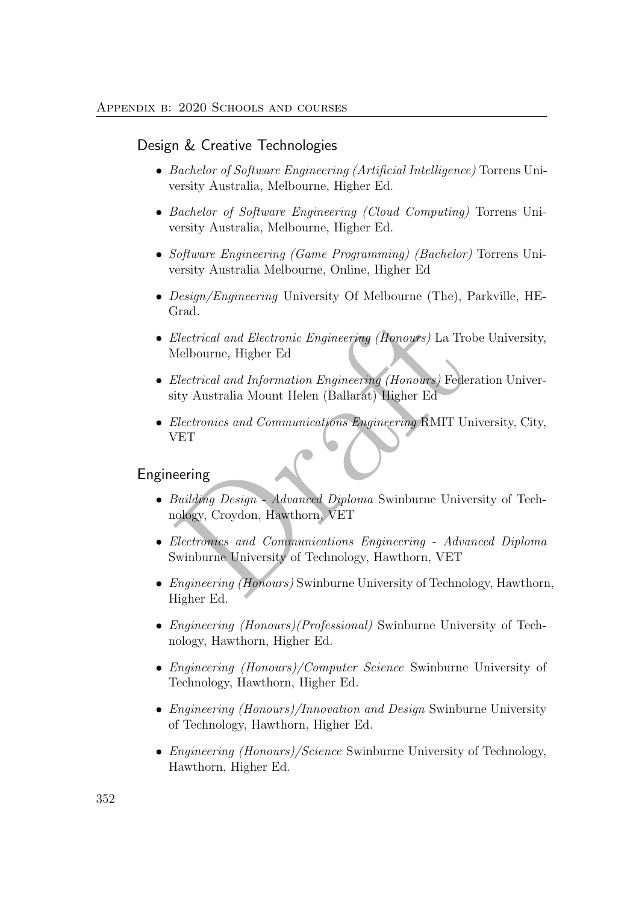#### Design & Creative Technologies

- Bachelor of Software Engineering (Artificial Intelligence) Torrens University Australia, Melbourne, Higher Ed.
- Bachelor of Software Engineering (Cloud Computing) Torrens University Australia, Melbourne, Higher Ed.
- Software Engineering (Game Programming) (Bachelor) Torrens University Australia Melbourne, Online, Higher Ed
- Design/Engineering University Of Melbourne (The), Parkville, HE-Grad.
- Electrical and Electronic Engineering (Honours) La Trobe University, Melbourne, Higher Ed
- Electrical and Electronic Engineering (Henours) La Trobe<br>Melbourne, Higher Ed<br>Electrical and Information Engineering (Honours) Federati<br>ity Australia Mount Helen (Ballarat) Higher Ed<br>Electronics and Communications Engineer • Electrical and Information Engineering (Honours) Federation University Australia Mount Helen (Ballarat) Higher Ed
- Electronics and Communications Engineering RMIT University, City, VET

#### Engineering

- Building Design Advanced Diploma Swinburne University of Technology, Croydon, Hawthorn, VET
- Electronics and Communications Engineering Advanced Diploma Swinburne University of Technology, Hawthorn, VET
- *Engineering (Honours)* Swinburne University of Technology, Hawthorn, Higher Ed.
- *Engineering (Honours)(Professional)* Swinburne University of Technology, Hawthorn, Higher Ed.
- Engineering (Honours)/Computer Science Swinburne University of Technology, Hawthorn, Higher Ed.
- Engineering (Honours)/Innovation and Design Swinburne University of Technology, Hawthorn, Higher Ed.
- *Engineering (Honours)/Science* Swinburne University of Technology, Hawthorn, Higher Ed.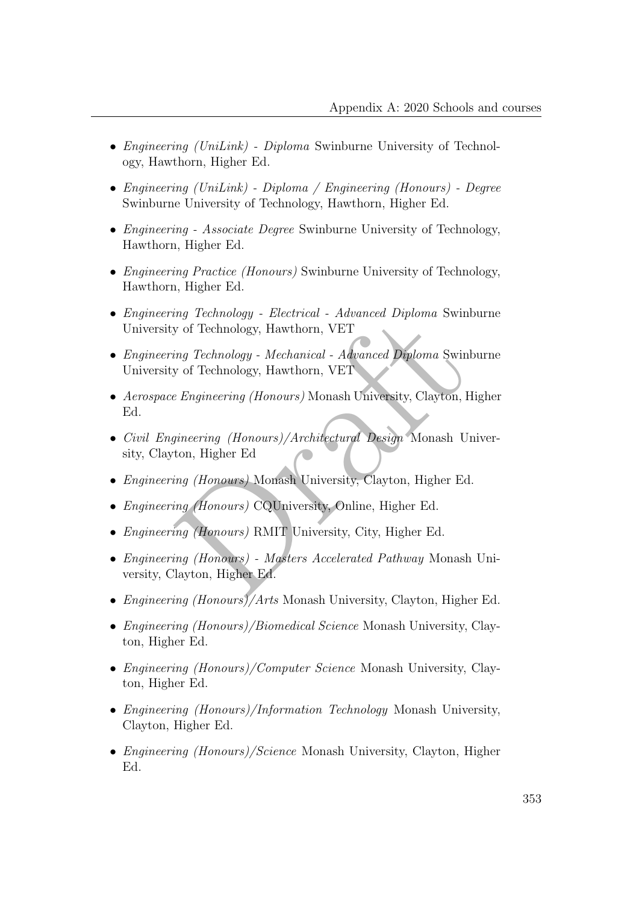- *Engineering (UniLink) Diploma* Swinburne University of Technology, Hawthorn, Higher Ed.
- Engineering (UniLink) Diploma / Engineering (Honours) Degree Swinburne University of Technology, Hawthorn, Higher Ed.
- *Engineering Associate Degree* Swinburne University of Technology, Hawthorn, Higher Ed.
- *Engineering Practice (Honours)* Swinburne University of Technology, Hawthorn, Higher Ed.
- Engineering Technology Electrical Advanced Diploma Swinburne University of Technology, Hawthorn, VET
- Engineering Technology Mechanical Advanced Diploma Swinburne University of Technology, Hawthorn, VET
- Aerospace Engineering (Honours) Monash University, Clayton, Higher Ed.
- my Technology Electrical Advanced Diploma Swinbury of Technology, Hawthorn, VET<br>ing Technology, Hawthorn, VET<br>ing Technology, Hawthorn, VET<br>E Engineering (Honours) Monash University, Clayton, High<br>gineering (Honours)/A • Civil Engineering (Honours)/Architectural Design Monash University, Clayton, Higher Ed
- Engineering (Honours) Monash University, Clayton, Higher Ed.
- Engineering (Honours) CQUniversity, Online, Higher Ed.
- Engineering (Honours) RMIT University, City, Higher Ed.
- Engineering (Honours) Masters Accelerated Pathway Monash University, Clayton, Higher Ed.
- Engineering (Honours)/Arts Monash University, Clayton, Higher Ed.
- *Engineering (Honours)/Biomedical Science* Monash University, Clayton, Higher Ed.
- *Engineering (Honours)/Computer Science* Monash University, Clayton, Higher Ed.
- Engineering (Honours)/Information Technology Monash University, Clayton, Higher Ed.
- *Engineering (Honours)/Science* Monash University, Clayton, Higher Ed.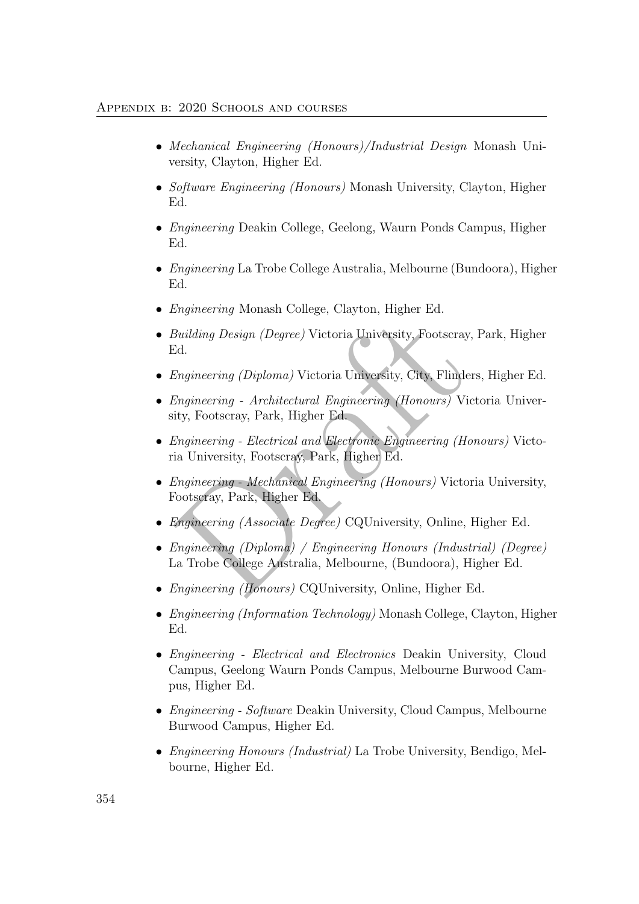#### Appendix b: 2020 Schools and courses

- Mechanical Engineering (Honours)/Industrial Design Monash University, Clayton, Higher Ed.
- Software Engineering (Honours) Monash University, Clayton, Higher Ed.
- Engineering Deakin College, Geelong, Waurn Ponds Campus, Higher Ed.
- Engineering La Trobe College Australia, Melbourne (Bundoora), Higher Ed.
- *Engineering* Monash College, Clayton, Higher Ed.
- Building Design (Degree) Victoria University, Footscray, Park, Higher Ed.
- Engineering (Diploma) Victoria University, City, Flinders, Higher Ed.
- Building Design (Degree) Victoria University, Footscray, Pa<br>
Engineering (Diploma) Victoria University, City, Flinders,<br>
Engineering Architectural Engineering (Honours) Victority, Footscray, Park, Higher Ed.<br>
Engineering • Engineering - Architectural Engineering (Honours) Victoria University, Footscray, Park, Higher Ed.
- Engineering Electrical and Electronic Engineering (Honours) Victoria University, Footscray, Park, Higher Ed.
- Engineering Mechanical Engineering (Honours) Victoria University, Footscray, Park, Higher Ed.
- Engineering (Associate Degree) CQUniversity, Online, Higher Ed.
- Engineering (Diploma) / Engineering Honours (Industrial) (Degree) La Trobe College Australia, Melbourne, (Bundoora), Higher Ed.
- Engineering (Honours) CQUniversity, Online, Higher Ed.
- *Engineering (Information Technology)* Monash College, Clayton, Higher Ed.
- Engineering Electrical and Electronics Deakin University, Cloud Campus, Geelong Waurn Ponds Campus, Melbourne Burwood Campus, Higher Ed.
- Engineering Software Deakin University, Cloud Campus, Melbourne Burwood Campus, Higher Ed.
- Engineering Honours (Industrial) La Trobe University, Bendigo, Melbourne, Higher Ed.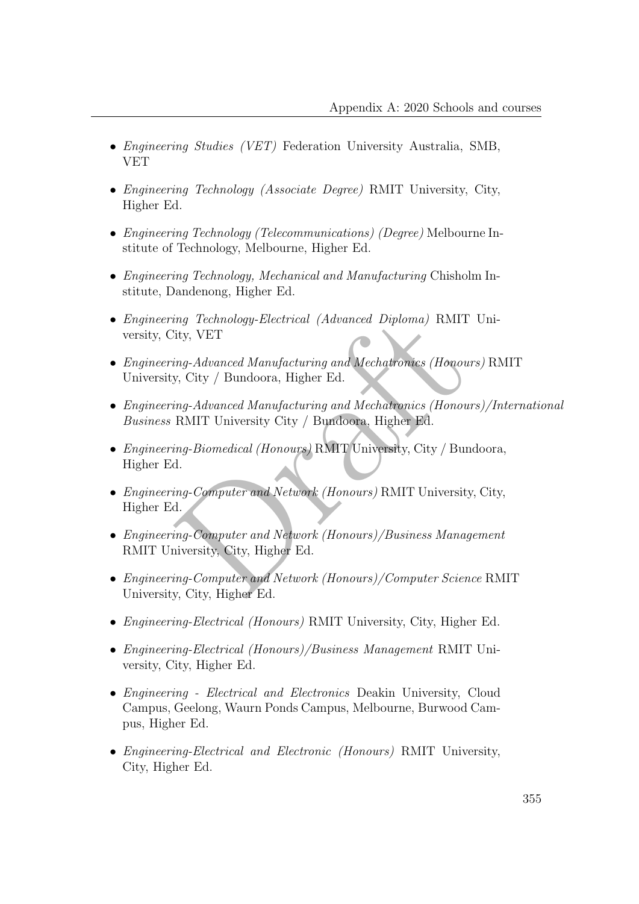- Engineering Studies (VET) Federation University Australia, SMB, VET
- Engineering Technology (Associate Degree) RMIT University, City, Higher Ed.
- Engineering Technology (Telecommunications) (Degree) Melbourne Institute of Technology, Melbourne, Higher Ed.
- Engineering Technology, Mechanical and Manufacturing Chisholm Institute, Dandenong, Higher Ed.
- Engineering Technology-Electrical (Advanced Diploma) RMIT University, City, VET
- ing Technology-Electrical (Advanced Diploma) RMIT U:<br>
ity, VET<br>
ing-Advanced Manufacturing and Mechatronics (Honours)<br>
y, City / Bundoora, Higher Ed.<br>
ing-Advanced Manufacturing and Mechatronics (Honours),<br>
RMIT University • Engineering-Advanced Manufacturing and Mechatronics (Honours) RMIT University, City / Bundoora, Higher Ed.
- Engineering-Advanced Manufacturing and Mechatronics (Honours)/International Business RMIT University City / Bundoora, Higher Ed.
- Engineering-Biomedical (Honours) RMIT University, City / Bundoora, Higher Ed.
- Engineering-Computer and Network (Honours) RMIT University, City, Higher Ed.
- Engineering-Computer and Network (Honours)/Business Management RMIT University, City, Higher Ed.
- Engineering-Computer and Network (Honours)/Computer Science RMIT University, City, Higher Ed.
- Engineering-Electrical (Honours) RMIT University, City, Higher Ed.
- Engineering-Electrical (Honours)/Business Management RMIT University, City, Higher Ed.
- Engineering Electrical and Electronics Deakin University, Cloud Campus, Geelong, Waurn Ponds Campus, Melbourne, Burwood Campus, Higher Ed.
- Engineering-Electrical and Electronic (Honours) RMIT University, City, Higher Ed.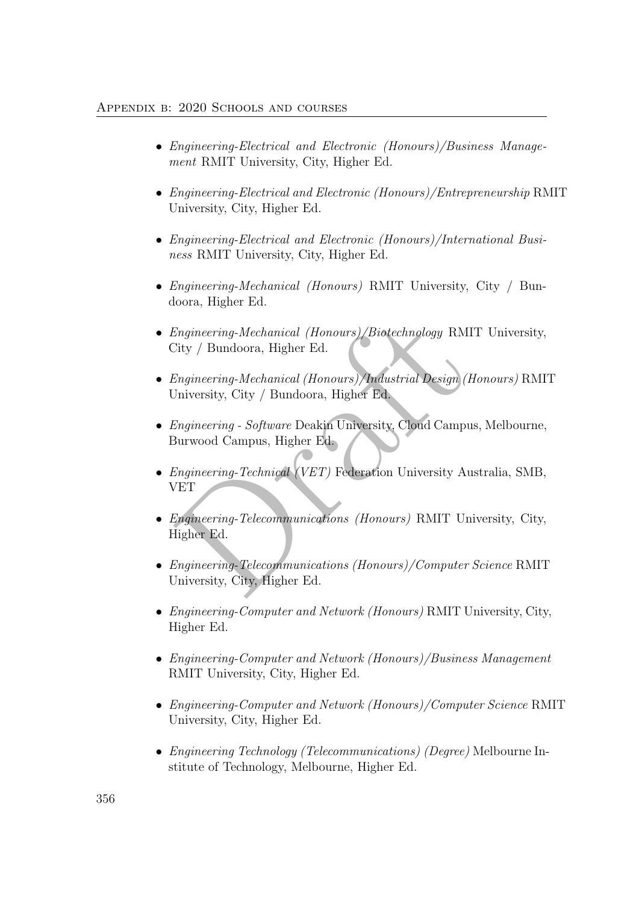#### Appendix b: 2020 Schools and courses

- Engineering-Electrical and Electronic (Honours)/Business Management RMIT University, City, Higher Ed.
- Engineering-Electrical and Electronic (Honours)/Entrepreneurship RMIT University, City, Higher Ed.
- Engineering-Electrical and Electronic (Honours)/International Business RMIT University, City, Higher Ed.
- Engineering-Mechanical (Honours) RMIT University, City / Bundoora, Higher Ed.
- Engineering-Mechanical (Honours)/Biotechnology RMIT University, City / Bundoora, Higher Ed.
- Engineering-Mechanical (Honours)/Biotechnology RMIT<br>
Dity / Bundoora, Higher Ed.<br>
Engineering-Mechanical (Honours)/Industrial Design (Hor<br>
Diversity, City / Bundoora, Higher Ed.<br>
Engineering Software Deakin University, C • Engineering-Mechanical (Honours)/Industrial Design (Honours) RMIT University, City / Bundoora, Higher Ed.
- Engineering Software Deakin University, Cloud Campus, Melbourne, Burwood Campus, Higher Ed.
- *Engineering-Technical (VET)* Federation University Australia, SMB, VET
- Engineering-Telecommunications (Honours) RMIT University, City, Higher Ed.
- Engineering-Telecommunications (Honours)/Computer Science RMIT University, City, Higher Ed.
- *Engineering-Computer and Network (Honours)* RMIT University, City, Higher Ed.
- Engineering-Computer and Network (Honours)/Business Management RMIT University, City, Higher Ed.
- Engineering-Computer and Network (Honours)/Computer Science RMIT University, City, Higher Ed.
- Engineering Technology (Telecommunications) (Degree) Melbourne Institute of Technology, Melbourne, Higher Ed.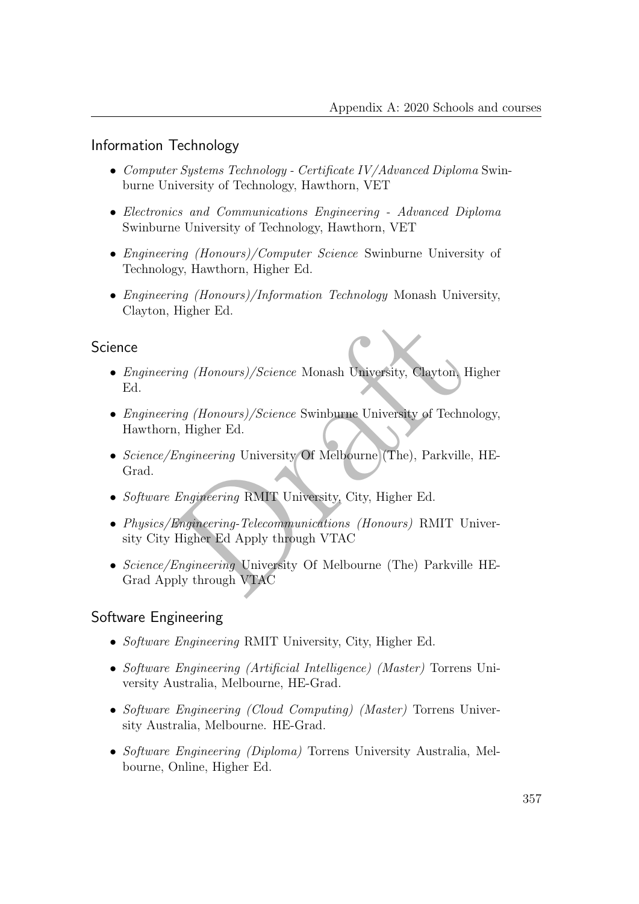### Information Technology

- Computer Systems Technology Certificate IV/Advanced Diploma Swinburne University of Technology, Hawthorn, VET
- Electronics and Communications Engineering Advanced Diploma Swinburne University of Technology, Hawthorn, VET
- Engineering (Honours)/Computer Science Swinburne University of Technology, Hawthorn, Higher Ed.
- Engineering (Honours)/Information Technology Monash University, Clayton, Higher Ed.

### **Science**

- ing *(Honours)/Science* Monash University, Clayton, Higher Ed.<br>
ing *(Honours)/Science* Swinburne University of Technolog<br>
1, Higher Ed.<br>
Engineering University Of Melbourne (The), Parkville, H<br>
Engineering RMIT University • Engineering (Honours)/Science Monash University, Clayton, Higher Ed.
- *Engineering (Honours)/Science* Swinburne University of Technology, Hawthorn, Higher Ed.
- Science/Engineering University Of Melbourne (The), Parkville, HE-Grad.
- Software Engineering RMIT University, City, Higher Ed.
- Physics/Engineering-Telecommunications (Honours) RMIT University City Higher Ed Apply through VTAC
- Science/Engineering University Of Melbourne (The) Parkville HE-Grad Apply through VTAC

### Software Engineering

- Software Engineering RMIT University, City, Higher Ed.
- Software Engineering (Artificial Intelligence) (Master) Torrens University Australia, Melbourne, HE-Grad.
- Software Engineering (Cloud Computing) (Master) Torrens University Australia, Melbourne. HE-Grad.
- Software Engineering (Diploma) Torrens University Australia, Melbourne, Online, Higher Ed.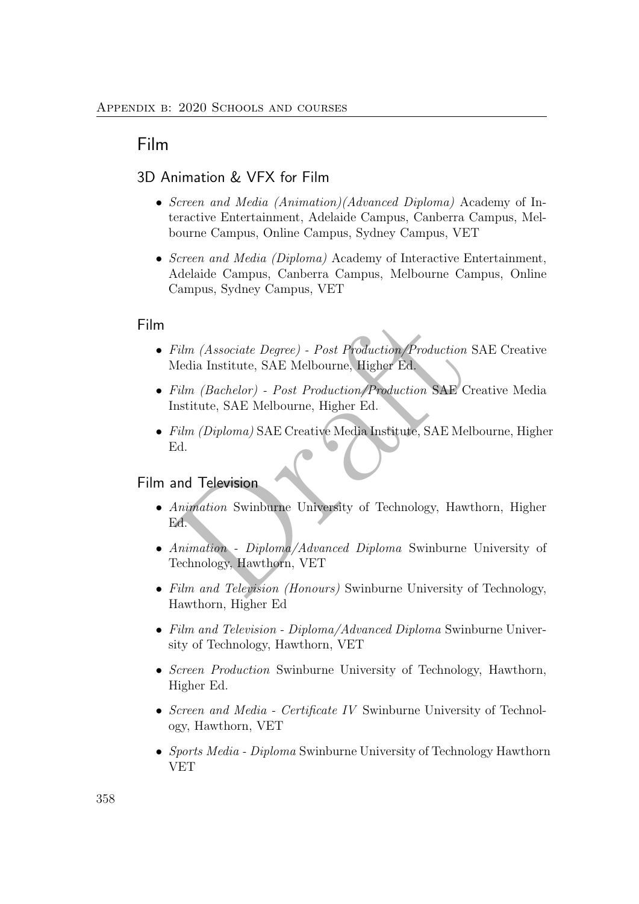## Film

### 3D Animation & VFX for Film

- Screen and Media *(Animation)(Advanced Diploma)* Academy of Interactive Entertainment, Adelaide Campus, Canberra Campus, Melbourne Campus, Online Campus, Sydney Campus, VET
- Screen and Media (Diploma) Academy of Interactive Entertainment, Adelaide Campus, Canberra Campus, Melbourne Campus, Online Campus, Sydney Campus, VET

#### Film

- Film (Associate Degree) Post Production/Production SA<br>
Media Institute, SAE Melbourne, Higher Ed.<br>
Film (Backelor) Post Production/Production SAE Crea<br>
Film (Diploma) SAE Creative Media Institute, SAE Melbourne, Higher • Film (Associate Degree) - Post Production/Production SAE Creative Media Institute, SAE Melbourne, Higher Ed.
- Film (Bachelor) Post Production/Production SAE Creative Media Institute, SAE Melbourne, Higher Ed.
- Film (Diploma) SAE Creative Media Institute, SAE Melbourne, Higher Ed.

#### Film and Television

- Animation Swinburne University of Technology, Hawthorn, Higher Ed.
- Animation Diploma/Advanced Diploma Swinburne University of Technology, Hawthorn, VET
- Film and Television (Honours) Swinburne University of Technology, Hawthorn, Higher Ed
- Film and Television Diploma/Advanced Diploma Swinburne University of Technology, Hawthorn, VET
- Screen Production Swinburne University of Technology, Hawthorn, Higher Ed.
- Screen and Media Certificate IV Swinburne University of Technology, Hawthorn, VET
- Sports Media Diploma Swinburne University of Technology Hawthorn VET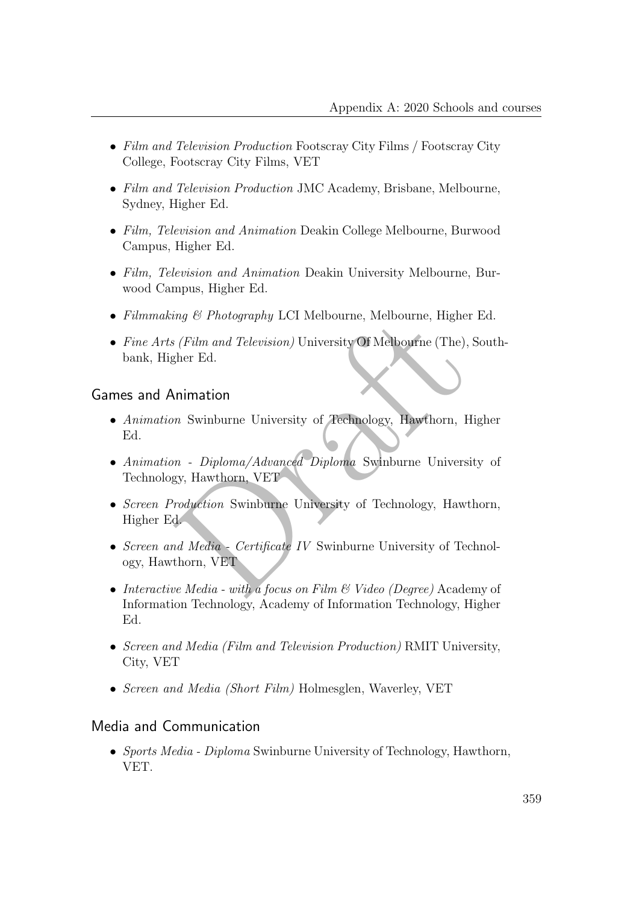- Film and Television Production Footscray City Films / Footscray City College, Footscray City Films, VET
- Film and Television Production JMC Academy, Brisbane, Melbourne, Sydney, Higher Ed.
- Film, Television and Animation Deakin College Melbourne, Burwood Campus, Higher Ed.
- Film, Television and Animation Deakin University Melbourne, Burwood Campus, Higher Ed.
- Filmmaking & Photography LCI Melbourne, Melbourne, Higher Ed.
- Fine Arts (Film and Television) University Of Melbourne (The), Southbank, Higher Ed.

### Games and Animation

- Animation Swinburne University of Technology, Hawthorn, Higher Ed.
- *ing & Photography* LCI Melbourne, Melbourne, Higher Exercise (Film and Television) University Of Melbourne (The), Souther Ed.<br> **Arithmetical Contains and Television**) University Of Melbourne (The), Souther Ed.<br> **Arithmet** • Animation - Diploma/Advanced Diploma Swinburne University of Technology, Hawthorn, VET
- Screen Production Swinburne University of Technology, Hawthorn, Higher Ed.
- Screen and Media Certificate IV Swinburne University of Technology, Hawthorn, VET
- Interactive Media with a focus on Film & Video (Degree) Academy of Information Technology, Academy of Information Technology, Higher Ed.
- Screen and Media (Film and Television Production) RMIT University, City, VET
- Screen and Media (Short Film) Holmesglen, Waverley, VET

### Media and Communication

• Sports Media - Diploma Swinburne University of Technology, Hawthorn, VET.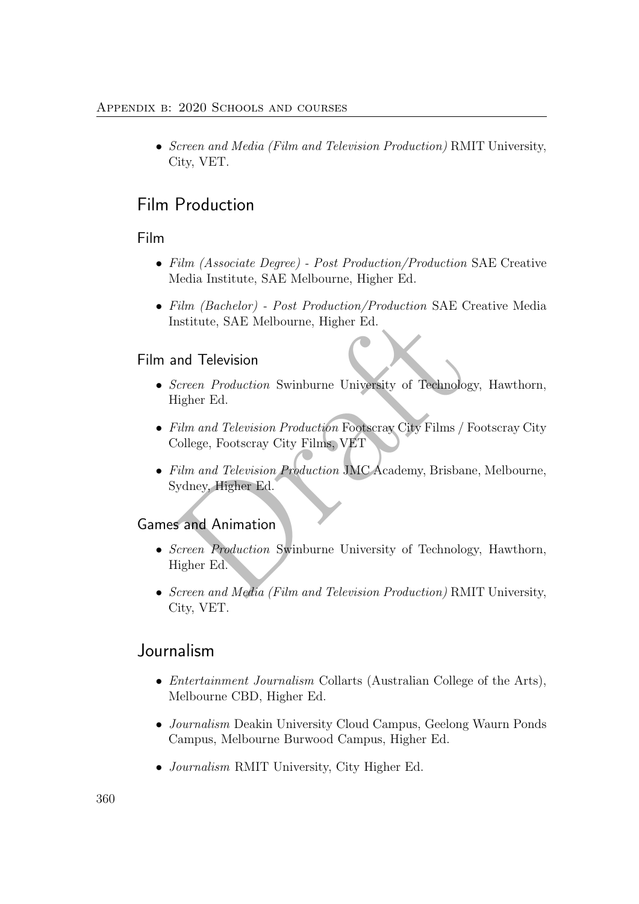#### Appendix b: 2020 Schools and courses

• Screen and Media (Film and Television Production) RMIT University, City, VET.

## Film Production

### Film

- Film (Associate Degree) Post Production/Production SAE Creative Media Institute, SAE Melbourne, Higher Ed.
- Film (Bachelor) Post Production/Production SAE Creative Media Institute, SAE Melbourne, Higher Ed.

### Film and Television

- Screen Production Swinburne University of Technology, Hawthorn, Higher Ed.
- Film and Television Production Footscray City Films / Footscray City College, Footscray City Films, VET
- nstitute, SAE Melbourne, Higher Ed.<br>
and Television<br>
Screen Production Swinburne University of Technology,<br>
Higher Ed.<br>
Film and Television Production Footscray City Films / Footscray City Films, VET<br>
Film and Television P • Film and Television Production JMC Academy, Brisbane, Melbourne, Sydney, Higher Ed.

## Games and Animation

- Screen Production Swinburne University of Technology, Hawthorn, Higher Ed.
- Screen and Media (Film and Television Production) RMIT University, City, VET.

## Journalism

- *Entertainment Journalism* Collarts (Australian College of the Arts), Melbourne CBD, Higher Ed.
- Journalism Deakin University Cloud Campus, Geelong Waurn Ponds Campus, Melbourne Burwood Campus, Higher Ed.
- *Journalism* RMIT University, City Higher Ed.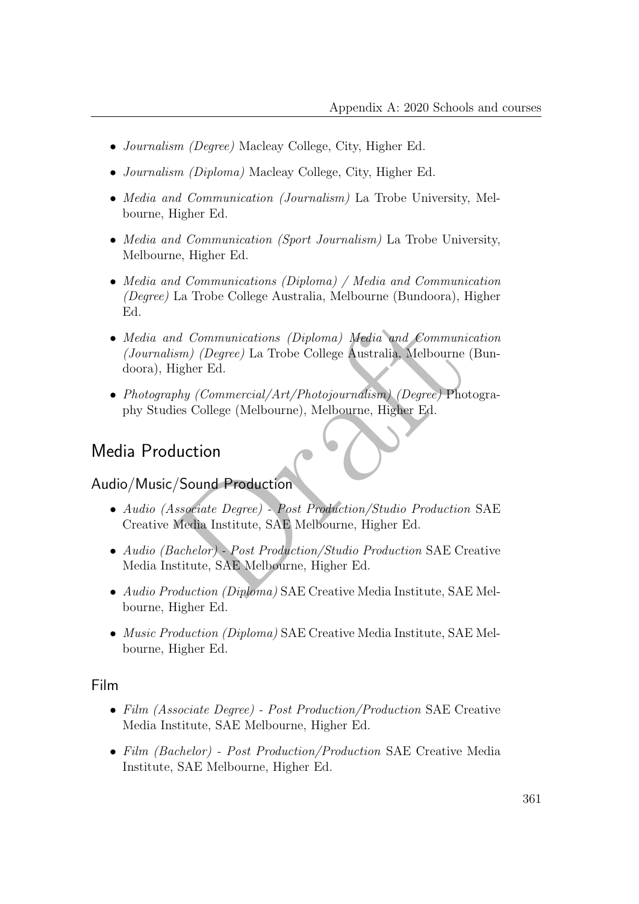- *Journalism (Degree)* Macleay College, City, Higher Ed.
- *Journalism (Diploma)* Macleay College, City, Higher Ed.
- *Media and Communication (Journalism)* La Trobe University, Melbourne, Higher Ed.
- Media and Communication (Sport Journalism) La Trobe University, Melbourne, Higher Ed.
- Media and Communications (Diploma) / Media and Communication (Degree) La Trobe College Australia, Melbourne (Bundoora), Higher Ed.
- nd Communications (Diploma) Media and Communications<br>
(Degree) La Trobe College Australia, Melbourne (Building Ed.<br>
(Degree) Commercial/Art/Photojournalism) (Degree) Photogrees<br>
(Degree) College (Melbourne), Melbourne, Hig • Media and Communications (Diploma) Media and Communication (Journalism) (Degree) La Trobe College Australia, Melbourne (Bundoora), Higher Ed.
- Photography (Commercial/Art/Photojournalism) (Degree) Photography Studies College (Melbourne), Melbourne, Higher Ed.

## Media Production

### Audio/Music/Sound Production

- Audio (Associate Degree) Post Production/Studio Production SAE Creative Media Institute, SAE Melbourne, Higher Ed.
- Audio (Bachelor) Post Production/Studio Production SAE Creative Media Institute, SAE Melbourne, Higher Ed.
- Audio Production (Diploma) SAE Creative Media Institute, SAE Melbourne, Higher Ed.
- Music Production (Diploma) SAE Creative Media Institute, SAE Melbourne, Higher Ed.

#### Film

- Film (Associate Degree) Post Production/Production SAE Creative Media Institute, SAE Melbourne, Higher Ed.
- Film (Bachelor) Post Production/Production SAE Creative Media Institute, SAE Melbourne, Higher Ed.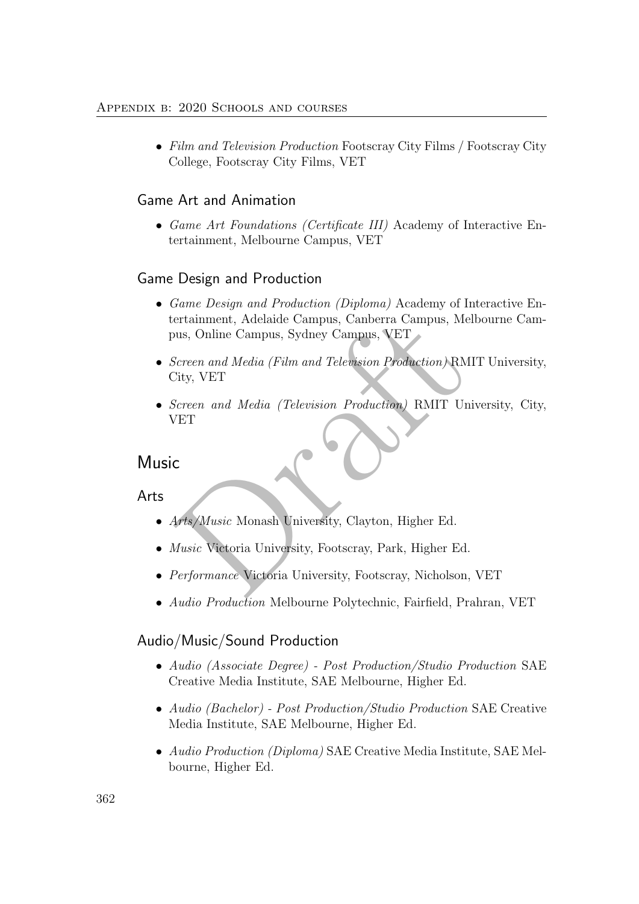• Film and Television Production Footscray City Films / Footscray City College, Footscray City Films, VET

### Game Art and Animation

• Game Art Foundations (Certificate III) Academy of Interactive Entertainment, Melbourne Campus, VET

### Game Design and Production

- Game Design and Production (Diploma) Academy of Interactive Entertainment, Adelaide Campus, Canberra Campus, Melbourne Campus, Online Campus, Sydney Campus, VET
- ertainment, Adelaide Campus, Canberra Campus, Melbo<br>
Jous, Online Campus, Sydney Campus, VET<br>
Screen and Media (Film and Television Production) RMIT<br>
Screen and Media (Television Production) RMIT University<br>
VET<br>
C<br>
Arts/M • Screen and Media (Film and Television Production) RMIT University, City, VET
- Screen and Media (Television Production) RMIT University, City, VET

## Music

Arts

- Arts/Music Monash University, Clayton, Higher Ed.
- *Music* Victoria University, Footscray, Park, Higher Ed.
- Performance Victoria University, Footscray, Nicholson, VET
- *Audio Production* Melbourne Polytechnic, Fairfield, Prahran, VET

## Audio/Music/Sound Production

- Audio (Associate Degree) Post Production/Studio Production SAE Creative Media Institute, SAE Melbourne, Higher Ed.
- Audio (Bachelor) Post Production/Studio Production SAE Creative Media Institute, SAE Melbourne, Higher Ed.
- Audio Production (Diploma) SAE Creative Media Institute, SAE Melbourne, Higher Ed.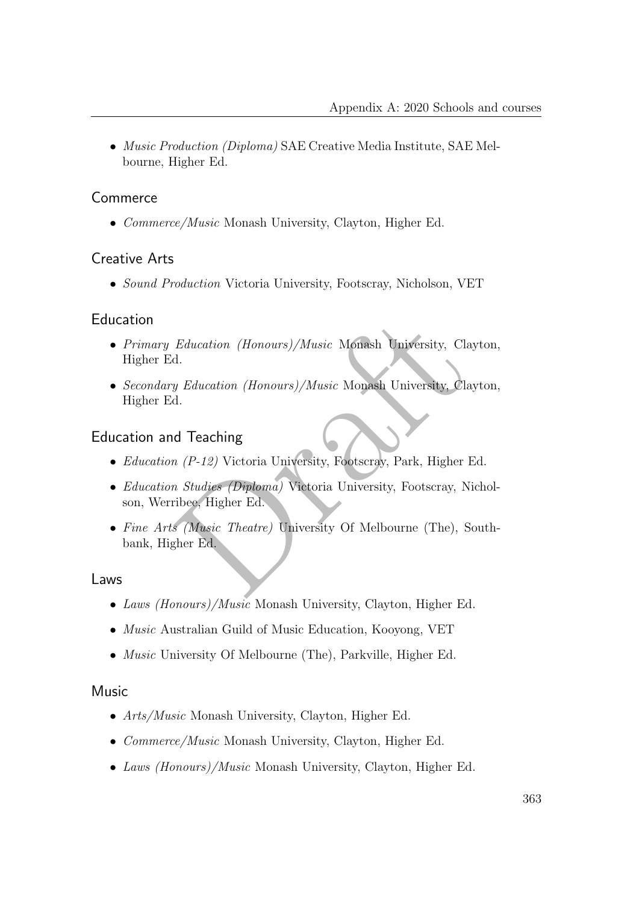• Music Production (Diploma) SAE Creative Media Institute, SAE Melbourne, Higher Ed.

### Commerce

• Commerce/Music Monash University, Clayton, Higher Ed.

### Creative Arts

• Sound Production Victoria University, Footscray, Nicholson, VET

### Education

- Primary Education (Honours)/Music Monash University, Clayton, Higher Ed.
- Education (Honours)/Music Monash University, Clayton<br>
1.<br>
y Education (Honours)/Music Monash University, Clayton<br>
d.<br>
d Teaching<br>
n (P-12) Victoria University, Footscray, Park, Higher Ed.<br>
n Studies (Diploma) Victoria Univ • Secondary Education (Honours)/Music Monash University, Clayton, Higher Ed.

### Education and Teaching

- Education (P-12) Victoria University, Footscray, Park, Higher Ed.
- *Education Studies (Diploma)* Victoria University, Footscray, Nicholson, Werribee, Higher Ed.
- Fine Arts (Music Theatre) University Of Melbourne (The), Southbank, Higher Ed.

### Laws

- Laws (Honours)/Music Monash University, Clayton, Higher Ed.
- *Music* Australian Guild of Music Education, Kooyong, VET
- Music University Of Melbourne (The), Parkville, Higher Ed.

#### Music

- Arts/Music Monash University, Clayton, Higher Ed.
- *Commerce/Music* Monash University, Clayton, Higher Ed.
- Laws *(Honours)/Music* Monash University, Clayton, Higher Ed.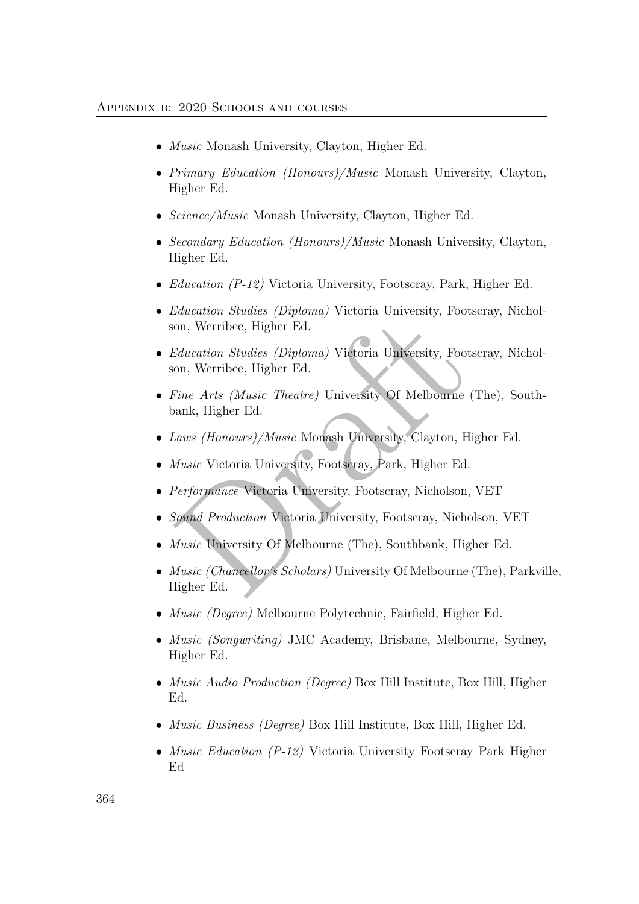- *Music* Monash University, Clayton, Higher Ed.
- Primary Education (Honours)/Music Monash University, Clayton, Higher Ed.
- *Science/Music* Monash University, Clayton, Higher Ed.
- Secondary Education (Honours)/Music Monash University, Clayton, Higher Ed.
- Education (P-12) Victoria University, Footscray, Park, Higher Ed.
- *Education Studies (Diploma)* Victoria University, Footscray, Nicholson, Werribee, Higher Ed.
- on, Werribee, Higher Ed.<br>Education Studies (Diploma) Victoria University, Footser<br>On, Werribee, Higher Ed.<br>Fine Arts (Music Theatre) University Of Melbourne (Theank, Higher Ed.<br>Laws (Honours)/Music Monash University, Clayt • Education Studies (Diploma) Victoria University, Footscray, Nicholson, Werribee, Higher Ed.
- Fine Arts (Music Theatre) University Of Melbourne (The), Southbank, Higher Ed.
- Laws (Honours)/Music Monash University, Clayton, Higher Ed.
- *Music* Victoria University, Footscray, Park, Higher Ed.
- Performance Victoria University, Footscray, Nicholson, VET
- Sound Production Victoria University, Footscray, Nicholson, VET
- Music University Of Melbourne (The), Southbank, Higher Ed.
- Music (Chancellor's Scholars) University Of Melbourne (The), Parkville, Higher Ed.
- *Music (Degree)* Melbourne Polytechnic, Fairfield, Higher Ed.
- *Music (Songwriting)* JMC Academy, Brisbane, Melbourne, Sydney, Higher Ed.
- *Music Audio Production (Degree)* Box Hill Institute, Box Hill, Higher Ed.
- Music Business (Degree) Box Hill Institute, Box Hill, Higher Ed.
- *Music Education (P-12)* Victoria University Footscray Park Higher Ed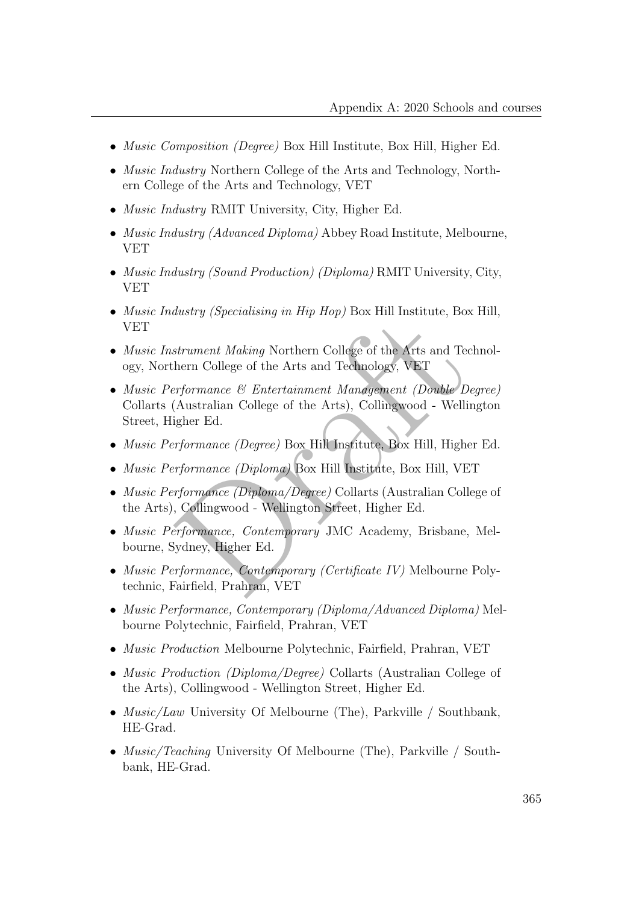- *Music Composition (Degree)* Box Hill Institute, Box Hill, Higher Ed.
- *Music Industry* Northern College of the Arts and Technology, Northern College of the Arts and Technology, VET
- Music Industry RMIT University, City, Higher Ed.
- Music Industry (Advanced Diploma) Abbey Road Institute, Melbourne, VET
- Music Industry (Sound Production) (Diploma) RMIT University, City, VET
- *Music Industry (Specialising in Hip Hop)* Box Hill Institute, Box Hill, VET
- Music Instrument Making Northern College of the Arts and Technology, Northern College of the Arts and Technology, VET
- asses y (specialisting in Trip Hop) Box 1111 Institute, Box 11<br>strument Making Northern College of the Arts and Techn<br>hern College of the Arts and Technology, VET<br>reformance & Entertainment Management (Double Degre<br>(Austra • Music Performance & Entertainment Management (Double Degree) Collarts (Australian College of the Arts), Collingwood - Wellington Street, Higher Ed.
- Music Performance (Degree) Box Hill Institute, Box Hill, Higher Ed.
- Music Performance (Diploma) Box Hill Institute, Box Hill, VET
- Music Performance (Diploma/Degree) Collarts (Australian College of the Arts), Collingwood - Wellington Street, Higher Ed.
- Music Performance, Contemporary JMC Academy, Brisbane, Melbourne, Sydney, Higher Ed.
- Music Performance, Contemporary (Certificate IV) Melbourne Polytechnic, Fairfield, Prahran, VET
- Music Performance, Contemporary (Diploma/Advanced Diploma) Melbourne Polytechnic, Fairfield, Prahran, VET
- Music Production Melbourne Polytechnic, Fairfield, Prahran, VET
- *Music Production (Diploma/Degree)* Collarts (Australian College of the Arts), Collingwood - Wellington Street, Higher Ed.
- *Music/Law* University Of Melbourne (The), Parkville / Southbank, HE-Grad.
- *Music/Teaching* University Of Melbourne (The), Parkville / Southbank, HE-Grad.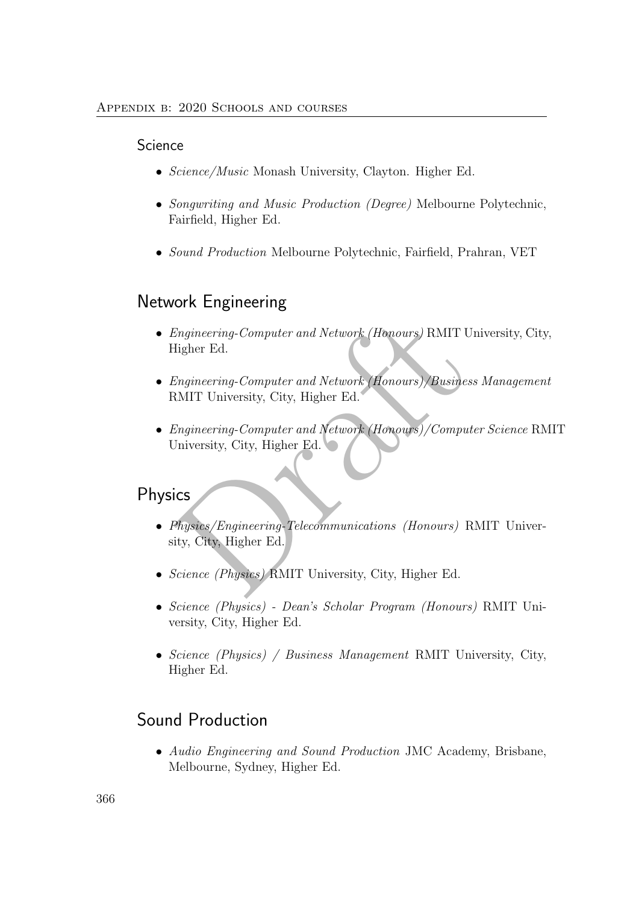#### **Science**

- Science/Music Monash University, Clayton. Higher Ed.
- Songwriting and Music Production (Degree) Melbourne Polytechnic, Fairfield, Higher Ed.
- Sound Production Melbourne Polytechnic, Fairfield, Prahran, VET

## Network Engineering

- Engineering-Computer and Network (Honours) RMIT University, City, Higher Ed.
- Engineering-Computer and Network (Honours)/Business Management RMIT University, City, Higher Ed.
- Engineering-Computer and Network (Honours) RMIT University<br>Engineering-Computer and Network (Honours)/Business N<br>
RMIT University, City, Higher Ed.<br>
Engineering-Computer and Network (Honours)/Computer<br>
Diversity, City, Hig • Engineering-Computer and Network (Honours)/Computer Science RMIT University, City, Higher Ed.

## Physics

- Physics/Engineering-Telecommunications (Honours) RMIT University, City, Higher Ed.
- Science (Physics) RMIT University, City, Higher Ed.
- Science (Physics) Dean's Scholar Program (Honours) RMIT University, City, Higher Ed.
- Science (Physics) / Business Management RMIT University, City, Higher Ed.

## Sound Production

• Audio Engineering and Sound Production JMC Academy, Brisbane, Melbourne, Sydney, Higher Ed.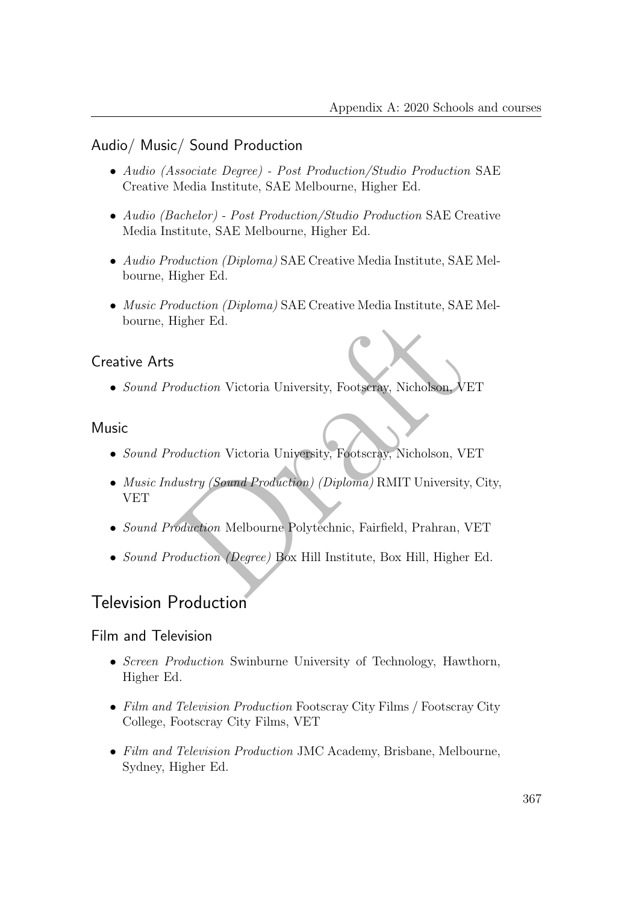### Audio/ Music/ Sound Production

- Audio (Associate Degree) Post Production/Studio Production SAE Creative Media Institute, SAE Melbourne, Higher Ed.
- Audio (Bachelor) Post Production/Studio Production SAE Creative Media Institute, SAE Melbourne, Higher Ed.
- Audio Production (Diploma) SAE Creative Media Institute, SAE Melbourne, Higher Ed.
- Music Production (Diploma) SAE Creative Media Institute, SAE Melbourne, Higher Ed.

### Creative Arts

• Sound Production Victoria University, Footscray, Nicholson, VET

### Music

- Sound Production Victoria University, Footscray, Nicholson, VET
- Figher Ed.<br>
Coduction Victoria University, Footseray, Nicholson, VET<br>
Coduction Victoria University, Footscray, Nicholson, VET<br>
Austry (Sound Production) (Diploma) RMIT University, Cipe<br>
Coduction Melbourne Polytechnic, Fa • Music Industry (Sound Production) (Diploma) RMIT University, City, VET
- Sound Production Melbourne Polytechnic, Fairfield, Prahran, VET
- Sound Production (Degree) Box Hill Institute, Box Hill, Higher Ed.

## Television Production

### Film and Television

- Screen Production Swinburne University of Technology, Hawthorn, Higher Ed.
- Film and Television Production Footscray City Films / Footscray City College, Footscray City Films, VET
- Film and Television Production JMC Academy, Brisbane, Melbourne, Sydney, Higher Ed.